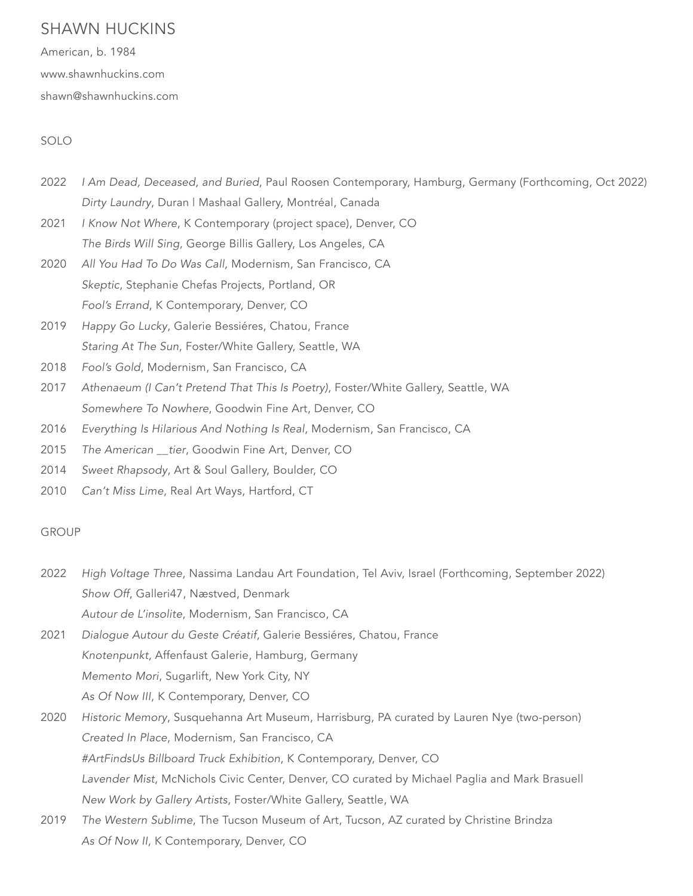# SHAWN HUCKINS

American, b. 1984 [www.shawnhuckins.com](http://www.shawnhuckins.com) [shawn@shawnhuckins.com](mailto:shawn@shawnhuckins.com)

# SOLO

- 2022 *I Am Dead, Deceased, and Buried*, Paul Roosen Contemporary, Hamburg, Germany (Forthcoming, Oct 2022) *Dirty Laundry*, Duran | Mashaal Gallery, Montréal, Canada
- 2021 *I Know Not Where*, K Contemporary (project space), Denver, CO *The Birds Will Sing*, George Billis Gallery, Los Angeles, CA
- 2020 *All You Had To Do Was Call,* Modernism, San Francisco, CA *Skeptic*, Stephanie Chefas Projects, Portland, OR *Fool's Errand*, K Contemporary, Denver, CO
- 2019 *Happy Go Lucky*, Galerie Bessiéres, Chatou, France *Staring At The Sun*, Foster/White Gallery, Seattle, WA
- 2018 *Fool's Gold*, Modernism, San Francisco, CA
- 2017 *Athenaeum (I Can't Pretend That This Is Poetry)*, Foster/White Gallery, Seattle, WA *Somewhere To Nowhere*, Goodwin Fine Art, Denver, CO
- 2016 *Everything Is Hilarious And Nothing Is Real*, Modernism, San Francisco, CA
- 2015 *The American \_\_tier*, Goodwin Fine Art, Denver, CO
- 2014 *Sweet Rhapsody*, Art & Soul Gallery, Boulder, CO
- 2010 *Can't Miss Lime*, Real Art Ways, Hartford, CT

# GROUP

2022 *High Voltage Three*, Nassima Landau Art Foundation, Tel Aviv, Israel (Forthcoming, September 2022) *Show Off*, Galleri47, Næstved, Denmark *Autour de L'insolite*, Modernism, San Francisco, CA

2021 *Dialogue Autour du Geste Créatif*, Galerie Bessiéres, Chatou, France *Knotenpunkt*, Affenfaust Galerie, Hamburg, Germany *Memento Mori*, Sugarlift, New York City, NY *As Of Now III*, K Contemporary, Denver, CO

- 2020 *Historic Memory*, Susquehanna Art Museum, Harrisburg, PA curated by Lauren Nye (two-person) *Created In Place*, Modernism, San Francisco, CA *#ArtFindsUs Billboard Truck Exhibition*, K Contemporary, Denver, CO *Lavender Mist*, McNichols Civic Center, Denver, CO curated by Michael Paglia and Mark Brasuell *New Work by Gallery Artists*, Foster/White Gallery, Seattle, WA
- 2019 *The Western Sublime*, The Tucson Museum of Art, Tucson, AZ curated by Christine Brindza *As Of Now II*, K Contemporary, Denver, CO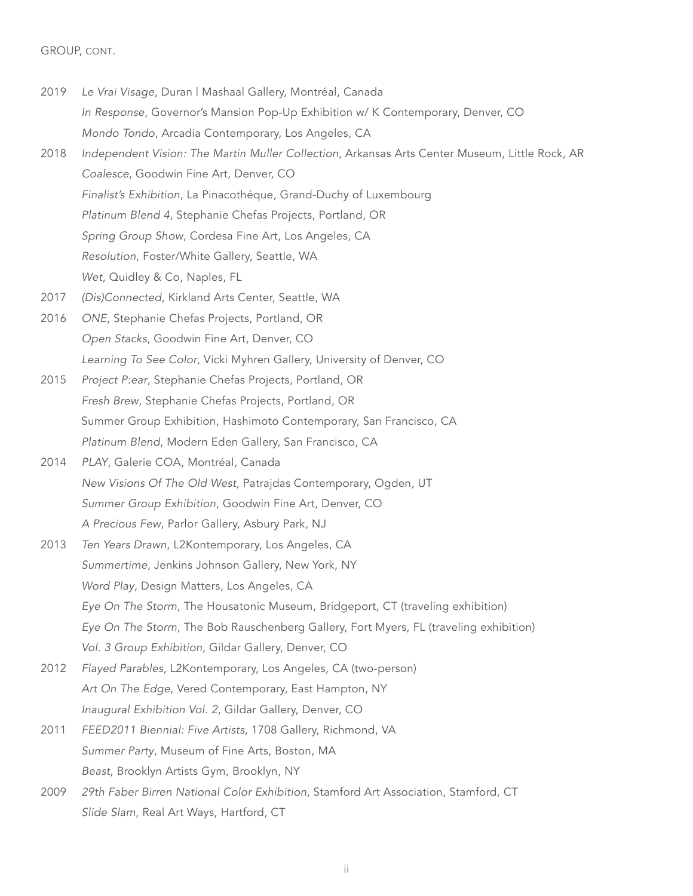# GROUP, CONT.

- 2019 *Le Vrai Visage*, Duran | Mashaal Gallery, Montréal, Canada *In Response*, Governor's Mansion Pop-Up Exhibition w/ K Contemporary, Denver, CO *Mondo Tondo*, Arcadia Contemporary, Los Angeles, CA
- 2018 *Independent Vision: The Martin Muller Collection*, Arkansas Arts Center Museum, Little Rock, AR *Coalesce*, Goodwin Fine Art, Denver, CO *Finalist's Exhibition*, La Pinacothéque, Grand-Duchy of Luxembourg *Platinum Blend 4*, Stephanie Chefas Projects, Portland, OR *Spring Group Show*, Cordesa Fine Art, Los Angeles, CA *Resolution*, Foster/White Gallery, Seattle, WA *Wet*, Quidley & Co, Naples, FL
- 2017 *(Dis)Connected*, Kirkland Arts Center, Seattle, WA
- 2016 *ONE*, Stephanie Chefas Projects, Portland, OR *Open Stacks*, Goodwin Fine Art, Denver, CO *Learning To See Color*, Vicki Myhren Gallery, University of Denver, CO
- 2015 *Project P:ear*, Stephanie Chefas Projects, Portland, OR *Fresh Brew*, Stephanie Chefas Projects, Portland, OR Summer Group Exhibition, Hashimoto Contemporary, San Francisco, CA *Platinum Blend*, Modern Eden Gallery, San Francisco, CA
- 2014 *PLAY*, Galerie COA, Montréal, Canada *New Visions Of The Old West*, Patrajdas Contemporary, Ogden, UT *Summer Group Exhibition*, Goodwin Fine Art, Denver, CO *A Precious Few*, Parlor Gallery, Asbury Park, NJ
- 2013 *Ten Years Drawn*, L2Kontemporary, Los Angeles, CA *Summertime*, Jenkins Johnson Gallery, New York, NY *Word Play*, Design Matters, Los Angeles, CA *Eye On The Storm*, The Housatonic Museum, Bridgeport, CT (traveling exhibition) *Eye On The Storm*, The Bob Rauschenberg Gallery, Fort Myers, FL (traveling exhibition) *Vol. 3 Group Exhibition*, Gildar Gallery, Denver, CO
- 2012 *Flayed Parables*, L2Kontemporary, Los Angeles, CA (two-person) *Art On The Edge*, Vered Contemporary, East Hampton, NY *Inaugural Exhibition Vol. 2*, Gildar Gallery, Denver, CO
- 2011 *FEED2011 Biennial: Five Artists*, 1708 Gallery, Richmond, VA *Summer Party*, Museum of Fine Arts, Boston, MA *Beast*, Brooklyn Artists Gym, Brooklyn, NY
- 2009 *29th Faber Birren National Color Exhibition*, Stamford Art Association, Stamford, CT *Slide Slam*, Real Art Ways, Hartford, CT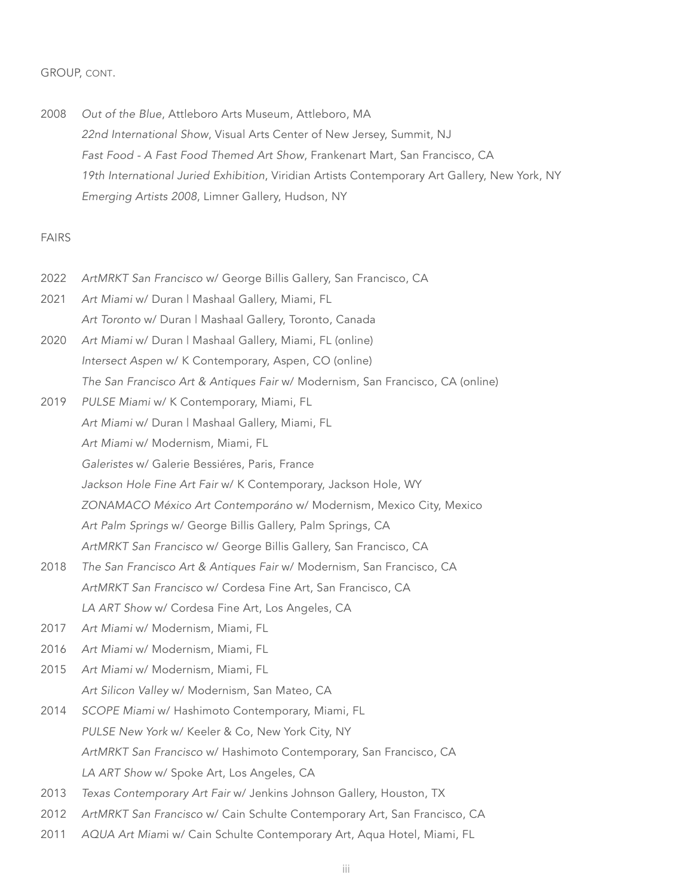## GROUP, CONT.

2008 *Out of the Blue*, Attleboro Arts Museum, Attleboro, MA *22nd International Show*, Visual Arts Center of New Jersey, Summit, NJ *Fast Food - A Fast Food Themed Art Show*, Frankenart Mart, San Francisco, CA *19th International Juried Exhibition*, Viridian Artists Contemporary Art Gallery, New York, NY *Emerging Artists 2008*, Limner Gallery, Hudson, NY

# FAIRS

- 2022 *ArtMRKT San Francisco* w/ George Billis Gallery, San Francisco, CA
- 2021 *Art Miami* w/ Duran | Mashaal Gallery, Miami, FL *Art Toronto* w/ Duran | Mashaal Gallery, Toronto, Canada
- 2020 *Art Miami* w/ Duran | Mashaal Gallery, Miami, FL (online) *Intersect Aspen* w/ K Contemporary, Aspen, CO (online) *The San Francisco Art & Antiques Fair* w/ Modernism, San Francisco, CA (online)
- 2019 *PULSE Miami* w/ K Contemporary, Miami, FL *Art Miami* w/ Duran | Mashaal Gallery, Miami, FL *Art Miami* w/ Modernism, Miami, FL *Galeristes* w/ Galerie Bessiéres, Paris, France *Jackson Hole Fine Art Fair* w/ K Contemporary, Jackson Hole, WY *ZONAMACO México Art Contemporáno* w/ Modernism, Mexico City, Mexico *Art Palm Springs* w/ George Billis Gallery, Palm Springs, CA *ArtMRKT San Francisco* w/ George Billis Gallery, San Francisco, CA
- 2018 *The San Francisco Art & Antiques Fair* w/ Modernism, San Francisco, CA *ArtMRKT San Francisco* w/ Cordesa Fine Art, San Francisco, CA *LA ART Show* w/ Cordesa Fine Art, Los Angeles, CA
- 2017 *Art Miami* w/ Modernism, Miami, FL
- 2016 *Art Miami* w/ Modernism, Miami, FL
- 2015 *Art Miami* w/ Modernism, Miami, FL *Art Silicon Valley* w/ Modernism, San Mateo, CA
- 2014 *SCOPE Miami* w/ Hashimoto Contemporary, Miami, FL *PULSE New York* w/ Keeler & Co, New York City, NY *ArtMRKT San Francisco* w/ Hashimoto Contemporary, San Francisco, CA *LA ART Show* w/ Spoke Art, Los Angeles, CA
- 2013 *Texas Contemporary Art Fair* w/ Jenkins Johnson Gallery, Houston, TX
- 2012 *ArtMRKT San Francisco* w/ Cain Schulte Contemporary Art, San Francisco, CA
- 2011 *AQUA Art Miam*i w/ Cain Schulte Contemporary Art, Aqua Hotel, Miami, FL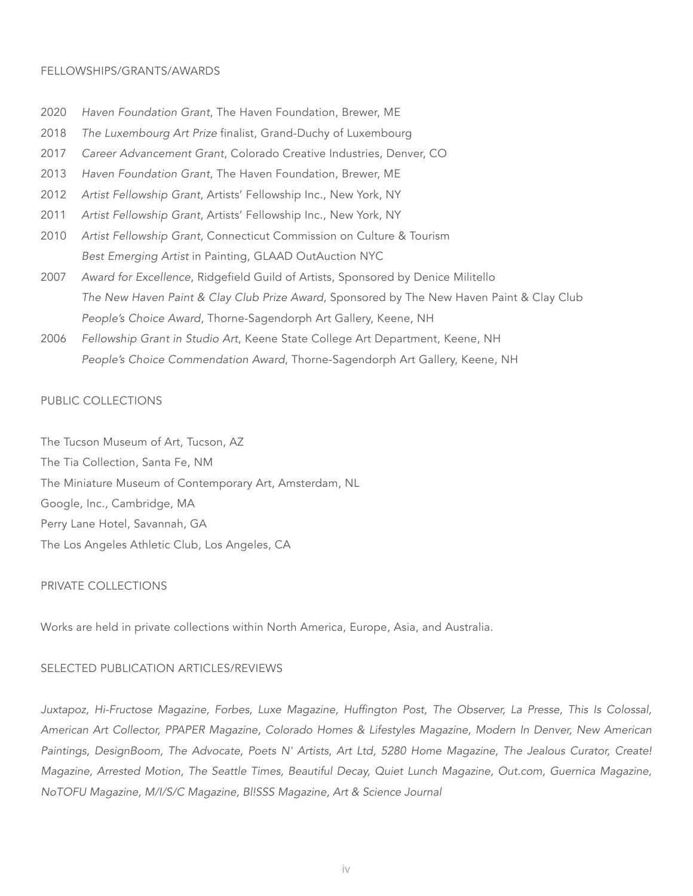#### FELLOWSHIPS/GRANTS/AWARDS

- 2020 *Haven Foundation Grant*, The Haven Foundation, Brewer, ME
- 2018 *The Luxembourg Art Prize* finalist, Grand-Duchy of Luxembourg
- 2017 *Career Advancement Grant*, Colorado Creative Industries, Denver, CO
- 2013 *Haven Foundation Grant*, The Haven Foundation, Brewer, ME
- 2012 *Artist Fellowship Grant*, Artists' Fellowship Inc., New York, NY
- 2011 *Artist Fellowship Grant*, Artists' Fellowship Inc., New York, NY
- 2010 *Artist Fellowship Grant*, Connecticut Commission on Culture & Tourism *Best Emerging Artist* in Painting, GLAAD OutAuction NYC
- 2007 *Award for Excellence*, Ridgefield Guild of Artists, Sponsored by Denice Militello *The New Haven Paint & Clay Club Prize Award*, Sponsored by The New Haven Paint & Clay Club *People's Choice Award*, Thorne-Sagendorph Art Gallery, Keene, NH
- 2006 *Fellowship Grant in Studio Art*, Keene State College Art Department, Keene, NH *People's Choice Commendation Award*, Thorne-Sagendorph Art Gallery, Keene, NH

## PUBLIC COLLECTIONS

The Tucson Museum of Art, Tucson, AZ The Tia Collection, Santa Fe, NM The Miniature Museum of Contemporary Art, Amsterdam, NL Google, Inc., Cambridge, MA Perry Lane Hotel, Savannah, GA The Los Angeles Athletic Club, Los Angeles, CA

# PRIVATE COLLECTIONS

Works are held in private collections within North America, Europe, Asia, and Australia.

## SELECTED PUBLICATION ARTICLES/REVIEWS

*Juxtapoz, Hi-Fructose Magazine, Forbes, Luxe Magazine, Huffington Post, The Observer, La Presse, This Is Colossal, American Art Collector, PPAPER Magazine, Colorado Homes & Lifestyles Magazine, Modern In Denver, New American Paintings, DesignBoom, The Advocate, Poets N' Artists, Art Ltd, 5280 Home Magazine, The Jealous Curator, Create! Magazine, Arrested Motion, The Seattle Times, Beautiful Decay, Quiet Lunch Magazine, Out.com, Guernica Magazine, NoTOFU Magazine, M/I/S/C Magazine, Bl!SSS Magazine, Art & Science Journal*